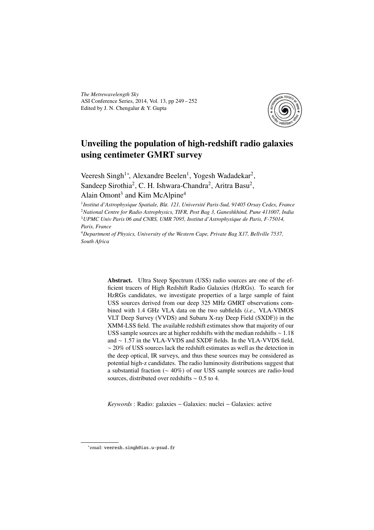*The Metrewavelength Sky* ASI Conference Series, 2014, Vol. 13, pp 249 – 252 Edited by J. N. Chengalur & Y. Gupta



# Unveiling the population of high-redshift radio galaxies using centimeter GMRT survey

Veeresh Singh<sup>1</sup>\*, Alexandre Beelen<sup>1</sup>, Yogesh Wadadekar<sup>2</sup>, Sandeep Sirothia<sup>2</sup>, C. H. Ishwara-Chandra<sup>2</sup>, Aritra Basu<sup>2</sup>,

## Alain Omont<sup>3</sup> and Kim McAlpine<sup>4</sup>

<sup>1</sup> Institut d'Astrophysique Spatiale, Bât. 121, Université Paris-Sud, 91405 Orsay Cedex, France <sup>2</sup>*National Centre for Radio Astrophysics, TIFR, Post Bag 3, Ganeshkhind, Pune 411007, India* <sup>3</sup>*UPMC Univ Paris 06 and CNRS, UMR 7095, Institut d'Astrophysique de Paris, F-75014, Paris, France*

<sup>4</sup>*Department of Physics, University of the Western Cape, Private Bag X17, Bellville 7537, South Africa*

> Abstract. Ultra Steep Spectrum (USS) radio sources are one of the efficient tracers of High Redshift Radio Galaxies (HzRGs). To search for HzRGs candidates, we investigate properties of a large sample of faint USS sources derived from our deep 325 MHz GMRT observations combined with 1.4 GHz VLA data on the two subfields (*i*.*e*., VLA-VIMOS VLT Deep Survey (VVDS) and Subaru X-ray Deep Field (SXDF)) in the XMM-LSS field. The available redshift estimates show that majority of our USS sample sources are at higher redshifts with the median redshifts ∼ 1.18 and ∼ 1.57 in the VLA-VVDS and SXDF fields. In the VLA-VVDS field, ∼ 20% of USS sources lack the redshift estimates as well as the detection in the deep optical, IR surveys, and thus these sources may be considered as potential high-z candidates. The radio luminosity distributions suggest that a substantial fraction (∼ 40%) of our USS sample sources are radio-loud sources, distributed over redshifts ∼ 0.5 to 4.

*Keywords* : Radio: galaxies − Galaxies: nuclei − Galaxies: active

<sup>∗</sup> email: veeresh.singh@ias.u-psud.fr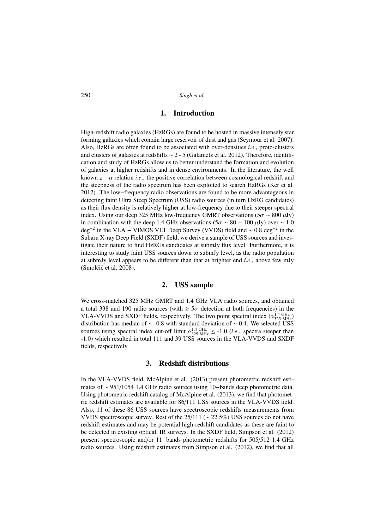250 *Singh et al.*

### 1. Introduction

High-redshift radio galaxies (HzRGs) are found to be hosted in massive intensely star forming galaxies which contain large reservoir of dust and gas (Seymour et al. 2007). Also, HzRGs are often found to be associated with over-densities *i*.*e*., proto-clusters and clusters of galaxies at redshifts ∼ 2 - 5 (Galametz et al. 2012). Therefore, identification and study of HzRGs allow us to better understand the formation and evolution of galaxies at higher redshifts and in dense environments. In the literature, the well known  $z - \alpha$  relation *i.e.*, the positive correlation between cosmological redshift and the steepness of the radio spectrum has been exploited to search HzRGs (Ker et al. 2012). The low−frequency radio observations are found to be more advantageous in detecting faint Ultra Steep Spectrum (USS) radio sources (in turn HzRG candidates) as their flux density is relatively higher at low-frequency due to their steeper spectral index. Using our deep 325 MHz low-frequency GMRT observations ( $5\sigma \sim 800 \,\mu\text{Jy}$ ) in combination with the deep 1.4 GHz observations ( $5\sigma \sim 80 - 100 \,\mu\text{Jy}$ ) over  $\sim 1.0$  $\text{deg}^{-2}$  in the VLA – VIMOS VLT Deep Survey (VVDS) field and ~ 0.8 deg<sup>-2</sup> in the Subaru X-ray Deep Field (SXDF) field, we derive a sample of USS sources and investigate their nature to find HzRGs candidates at submJy flux level. Furthermore, it is interesting to study faint USS sources down to submJy level, as the radio population at submJy level appears to be different than that at brighter end *i*.*e*., above few mJy (Smolčić et al. 2008).

#### 2. USS sample

We cross-matched 325 MHz GMRT and 1.4 GHz VLA radio sources, and obtained a total 338 and 190 radio sources (with  $\geq 5\sigma$  detection at both frequencies) in the VLA-VVDS and SXDF fields, respectively. The two point spectral index  $(\alpha_{325 \text{ MHz}}^{1.4 \text{ GHz}})$ distribution has median of  $\sim$  -0.8 with standard deviation of  $\sim$  0.4. We selected USS sources using spectral index cut-off limit  $\alpha_{325 \text{ MHz}}^{1.4 \text{ GHz}} \leq -1.0$  (*i.e.*, spectra steeper than -1.0) which resulted in total 111 and 39 USS sources in the VLA-VVDS and SXDF fields, respectively.

#### 3. Redshift distributions

In the VLA-VVDS field, McAlpine et al. (2013) present photometric redshift estimates of ∼ 951/1054 1.4 GHz radio sources using 10−bands deep photometric data. Using photometric redshift catalog of McAlpine et al. (2013), we find that photometric redshift estimates are available for 86/111 USS sources in the VLA-VVDS field. Also, 11 of these 86 USS sources have spectroscopic redshifts measurements from VVDS spectroscopic survey. Rest of the 25/111 ( $\sim$  22.5%) USS sources do not have redshift estimates and may be potential high-redshift candidates as these are faint to be detected in existing optical, IR surveys. In the SXDF field, Simpson et al. (2012) present spectroscopic and/or 11−bands photometric redshifts for 505/512 1.4 GHz radio sources. Using redshift estimates from Simpson et al. (2012), we find that all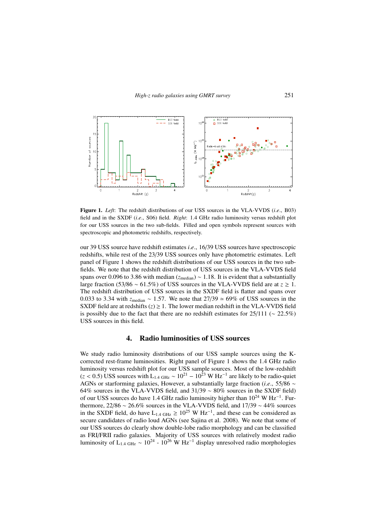

Figure 1. *Left*: The redshift distributions of our USS sources in the VLA-VVDS (*i*.*e*., B03) field and in the SXDF (*i*.*e*., S06) field. *Right*: 1.4 GHz radio luminosity versus redshift plot for our USS sources in the two sub-fields. Filled and open symbols represent sources with spectroscopic and photometric redshifts, respectively.

our 39 USS source have redshift estimates *i*.*e*., 16/39 USS sources have spectroscopic redshifts, while rest of the 23/39 USS sources only have photometric estimates. Left panel of Figure 1 shows the redshift distributions of our USS sources in the two subfields. We note that the redshift distribution of USS sources in the VLA-VVDS field spans over 0.096 to 3.86 with median (*z*<sub>median</sub>) ~ 1.18. It is evident that a substantially large fraction (53/86 ∼ 61.5%) of USS sources in the VLA-VVDS field are at *z* ≥ 1. The redshift distribution of USS sources in the SXDF field is flatter and spans over 0.033 to 3.34 with *z*<sub>median</sub> ~ 1.57. We note that 27/39 ≃ 69% of USS sources in the SXDF field are at redshifts  $(z) \geq 1$ . The lower median redshift in the VLA-VVDS field is possibly due to the fact that there are no redshift estimates for  $25/111$  ( $\sim 22.5\%$ ) USS sources in this field.

#### 4. Radio luminosities of USS sources

We study radio luminosity distributions of our USS sample sources using the Kcorrected rest-frame luminosities. Right panel of Figure 1 shows the 1.4 GHz radio luminosity versus redshift plot for our USS sample sources. Most of the low-redshift  $(z < 0.5)$  USS sources with L<sub>1.4 GHz</sub> ~ 10<sup>21</sup> – 10<sup>23</sup> W Hz<sup>-1</sup> are likely to be radio-quiet AGNs or starforming galaxies, However, a substantially large fraction (*i*.*e*., 55/86 ∼ 64% sources in the VLA-VVDS field, and 31/39 ∼ 80% sources in the SXDF field) of our USS sources do have 1.4 GHz radio luminosity higher than 10<sup>24</sup> W Hz<sup>-1</sup>. Furthermore, 22/86 ∼ 26.6% sources in the VLA-VVDS field, and 17/39 ∼ 44% sources in the SXDF field, do have  $L_{1.4 \text{ GHz}} \ge 10^{25} \text{ W Hz}^{-1}$ , and these can be considered as secure candidates of radio loud AGNs (see Sajina et al. 2008). We note that some of our USS sources do clearly show double-lobe radio morphology and can be classified as FRI/FRII radio galaxies. Majority of USS sources with relatively modest radio luminosity of L<sub>1.4 GHz</sub> ~ 10<sup>24</sup> - 10<sup>26</sup> W Hz<sup>-1</sup> display unresolved radio morphologies